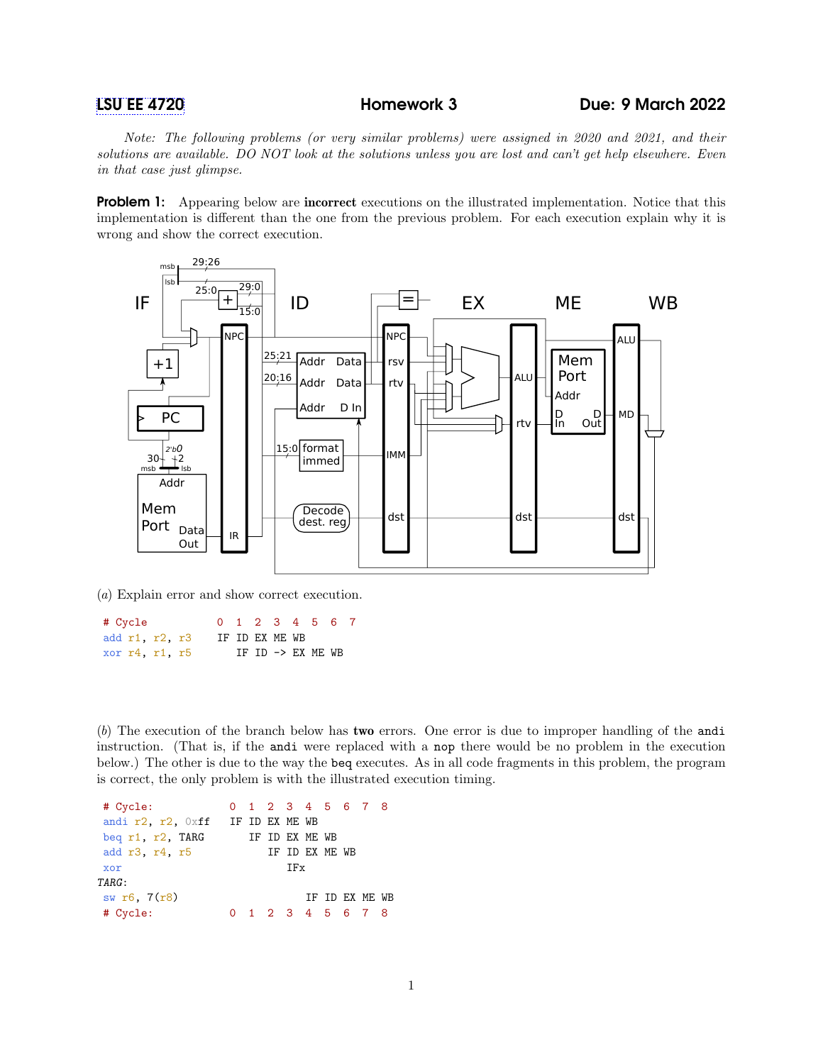Note: The following problems (or very similar problems) were assigned in 2020 and 2021, and their solutions are available. DO NOT look at the solutions unless you are lost and can't get help elsewhere. Even in that case just glimpse.

**Problem 1:** Appearing below are **incorrect** executions on the illustrated implementation. Notice that this implementation is different than the one from the previous problem. For each execution explain why it is wrong and show the correct execution.



(a) Explain error and show correct execution.

# Cycle 0 1 2 3 4 5 6 7 add r1, r2, r3 IF ID EX ME WB xor  $r4$ ,  $r1$ ,  $r5$  IF ID  $\rightarrow$  EX ME WB

(b) The execution of the branch below has two errors. One error is due to improper handling of the andi instruction. (That is, if the andi were replaced with a nop there would be no problem in the execution below.) The other is due to the way the beq executes. As in all code fragments in this problem, the program is correct, the only problem is with the illustrated execution timing.

| # Cycle:                         |  | 0 1 2 3 4 5 6 7 8 |  |                |  |
|----------------------------------|--|-------------------|--|----------------|--|
| andi r2, r2, Oxff IF ID EX ME WB |  |                   |  |                |  |
| beg r1, r2, TARG                 |  | IF ID EX ME WB    |  |                |  |
| add r3, r4, r5                   |  | IF ID EX ME WB    |  |                |  |
| xor                              |  | TFx               |  |                |  |
| TARG:                            |  |                   |  |                |  |
| sw r6, 7(r8)                     |  |                   |  | TF TD FX MF WB |  |
| # Cycle:                         |  | 1 2 3 4 5 6 7 8   |  |                |  |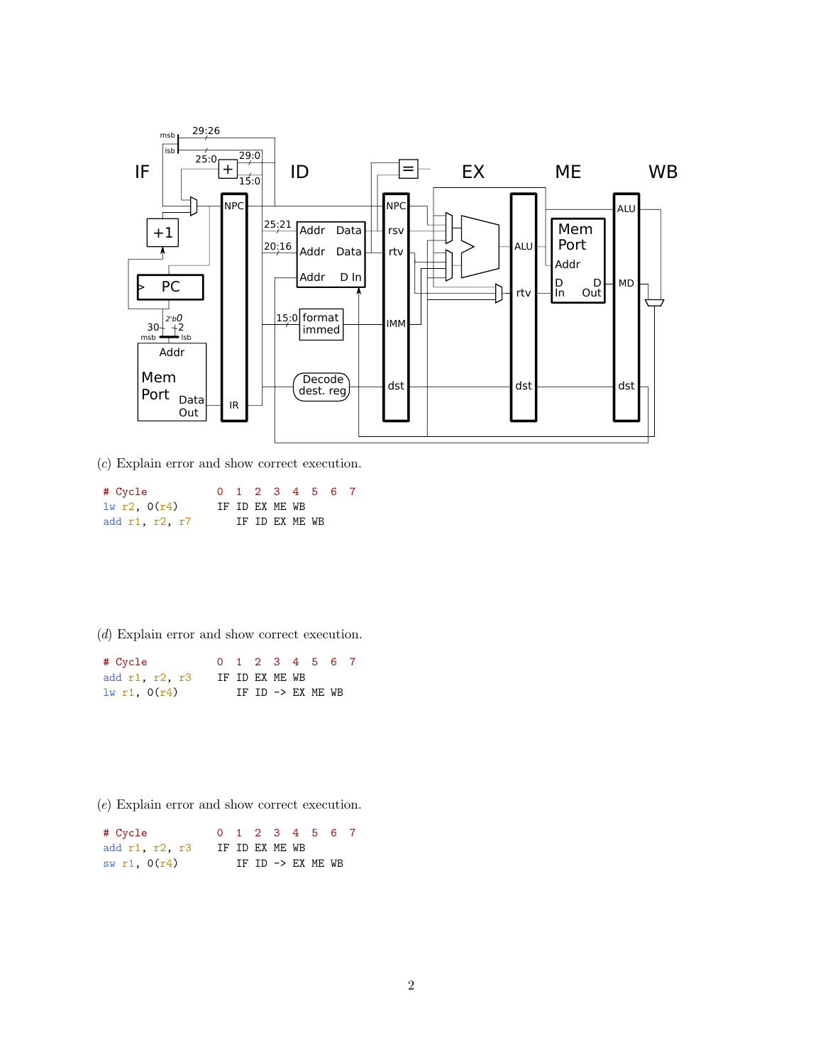

(c) Explain error and show correct execution.

| # Cycle        |  |                |  | 0 1 2 3 4 5 6 7 |  |
|----------------|--|----------------|--|-----------------|--|
| 1w r2, 0(r4)   |  | IF ID EX ME WB |  |                 |  |
| add r1, r2, r7 |  | IF ID EX ME WB |  |                 |  |

(d) Explain error and show correct execution.

| # Cycle          |                |  |  | 0 1 2 3 4 5 6 7   |  |
|------------------|----------------|--|--|-------------------|--|
| add r1, r2, r3   | IF ID EX ME WB |  |  |                   |  |
| $1w$ r1, $0(r4)$ |                |  |  | IF ID -> EX ME WB |  |

(e) Explain error and show correct execution.

| # Cycle        |                |  |  | 0 1 2 3 4 5 6 7   |  |
|----------------|----------------|--|--|-------------------|--|
| add r1, r2, r3 | IF ID EX ME WB |  |  |                   |  |
| sw r1, $0(r4)$ |                |  |  | IF ID -> EX ME WB |  |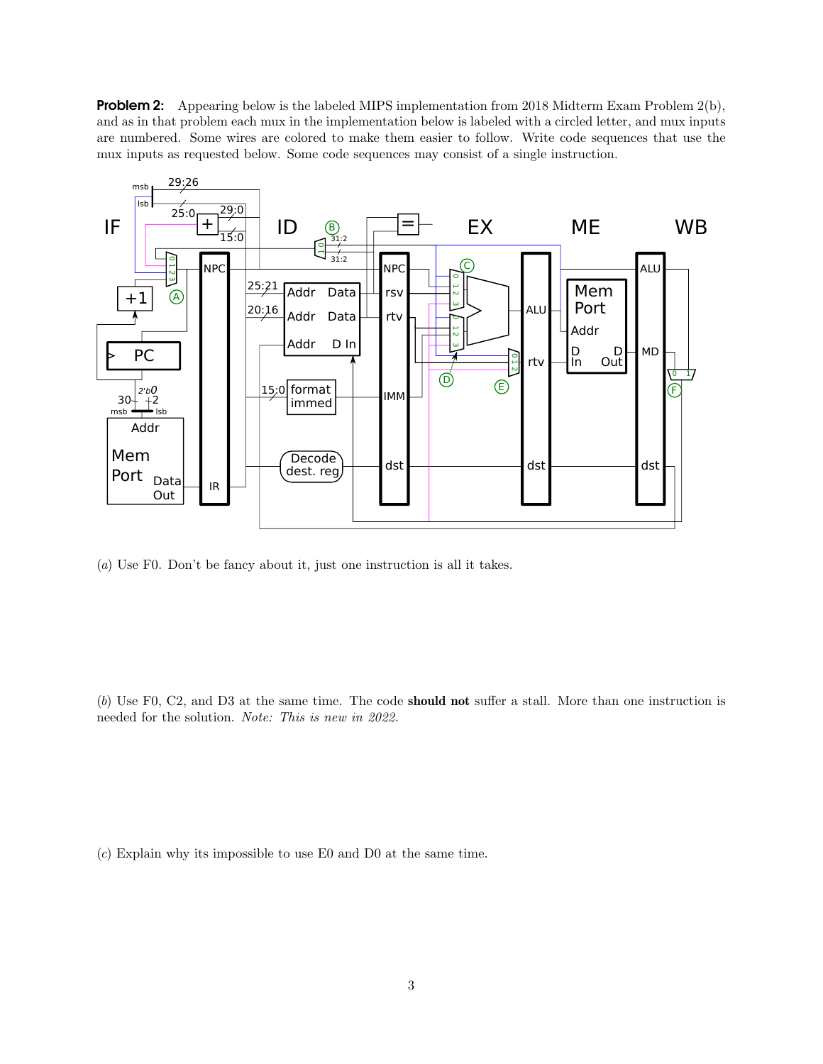**Problem 2:** Appearing below is the labeled MIPS implementation from 2018 Midterm Exam Problem 2(b), and as in that problem each mux in the implementation below is labeled with a circled letter, and mux inputs are numbered. Some wires are colored to make them easier to follow. Write code sequences that use the mux inputs as requested below. Some code sequences may consist of a single instruction.



(a) Use F0. Don't be fancy about it, just one instruction is all it takes.

(b) Use F0, C2, and D3 at the same time. The code should not suffer a stall. More than one instruction is needed for the solution. Note: This is new in 2022.

(c) Explain why its impossible to use E0 and D0 at the same time.